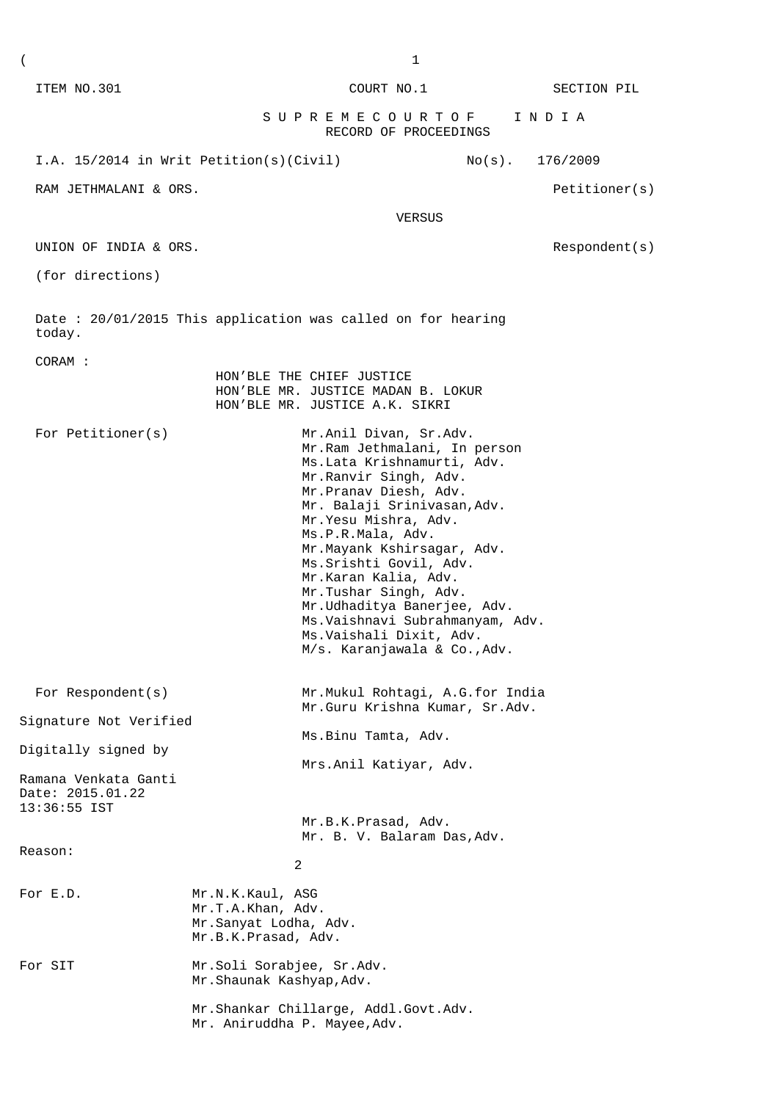| ITEM NO.301                                                                     |                                                                                       | COURT NO.1                                                                                                                                                                                                                                                                                                                                                                                                                                                   |           | SECTION PIL   |
|---------------------------------------------------------------------------------|---------------------------------------------------------------------------------------|--------------------------------------------------------------------------------------------------------------------------------------------------------------------------------------------------------------------------------------------------------------------------------------------------------------------------------------------------------------------------------------------------------------------------------------------------------------|-----------|---------------|
|                                                                                 |                                                                                       | S U P R E M E C O U R T O F<br>RECORD OF PROCEEDINGS                                                                                                                                                                                                                                                                                                                                                                                                         |           | INDIA         |
| I.A. 15/2014 in Writ Petition(s)(Civil)                                         |                                                                                       |                                                                                                                                                                                                                                                                                                                                                                                                                                                              | $No(s)$ . | 176/2009      |
| RAM JETHMALANI & ORS.                                                           |                                                                                       |                                                                                                                                                                                                                                                                                                                                                                                                                                                              |           | Petitioner(s) |
|                                                                                 |                                                                                       | VERSUS                                                                                                                                                                                                                                                                                                                                                                                                                                                       |           |               |
| UNION OF INDIA & ORS.                                                           |                                                                                       |                                                                                                                                                                                                                                                                                                                                                                                                                                                              |           | Respondent(s) |
| (for directions)                                                                |                                                                                       |                                                                                                                                                                                                                                                                                                                                                                                                                                                              |           |               |
| today.                                                                          |                                                                                       | Date: 20/01/2015 This application was called on for hearing                                                                                                                                                                                                                                                                                                                                                                                                  |           |               |
| CORAM :                                                                         | HON'BLE THE CHIEF JUSTICE                                                             | HON'BLE MR. JUSTICE MADAN B. LOKUR<br>HON'BLE MR. JUSTICE A.K. SIKRI                                                                                                                                                                                                                                                                                                                                                                                         |           |               |
| For Petitioner(s)                                                               |                                                                                       | Mr.Anil Divan, Sr.Adv.<br>Mr. Ram Jethmalani, In person<br>Ms.Lata Krishnamurti, Adv.<br>Mr.Ranvir Singh, Adv.<br>Mr.Pranav Diesh, Adv.<br>Mr. Balaji Srinivasan, Adv.<br>Mr. Yesu Mishra, Adv.<br>Ms.P.R.Mala, Adv.<br>Mr.Mayank Kshirsagar, Adv.<br>Ms. Srishti Govil, Adv.<br>Mr.Karan Kalia, Adv.<br>Mr.Tushar Singh, Adv.<br>Mr.Udhaditya Banerjee, Adv.<br>Ms.Vaishnavi Subrahmanyam, Adv.<br>Ms. Vaishali Dixit, Adv.<br>M/s. Karanjawala & Co., Adv. |           |               |
| For Respondent (s)                                                              |                                                                                       | Mr.Mukul Rohtagi, A.G.for India<br>Mr.Guru Krishna Kumar, Sr.Adv.                                                                                                                                                                                                                                                                                                                                                                                            |           |               |
| Signature Not Verified                                                          |                                                                                       | Ms.Binu Tamta, Adv.                                                                                                                                                                                                                                                                                                                                                                                                                                          |           |               |
| Digitally signed by<br>Ramana Venkata Ganti<br>Date: 2015.01.22<br>13:36:55 IST |                                                                                       | Mrs.Anil Katiyar, Adv.                                                                                                                                                                                                                                                                                                                                                                                                                                       |           |               |
|                                                                                 |                                                                                       | Mr.B.K.Prasad, Adv.<br>Mr. B. V. Balaram Das, Adv.                                                                                                                                                                                                                                                                                                                                                                                                           |           |               |
| Reason:                                                                         | 2                                                                                     |                                                                                                                                                                                                                                                                                                                                                                                                                                                              |           |               |
| For E.D.                                                                        | Mr.N.K.Kaul, ASG<br>Mr.T.A.Khan, Adv.<br>Mr.Sanyat Lodha, Adv.<br>Mr.B.K.Prasad, Adv. |                                                                                                                                                                                                                                                                                                                                                                                                                                                              |           |               |
| For SIT                                                                         | Mr.Soli Sorabjee, Sr.Adv.<br>Mr.Shaunak Kashyap, Adv.                                 |                                                                                                                                                                                                                                                                                                                                                                                                                                                              |           |               |
|                                                                                 | Mr. Aniruddha P. Mayee, Adv.                                                          | Mr.Shankar Chillarge, Addl.Govt.Adv.                                                                                                                                                                                                                                                                                                                                                                                                                         |           |               |